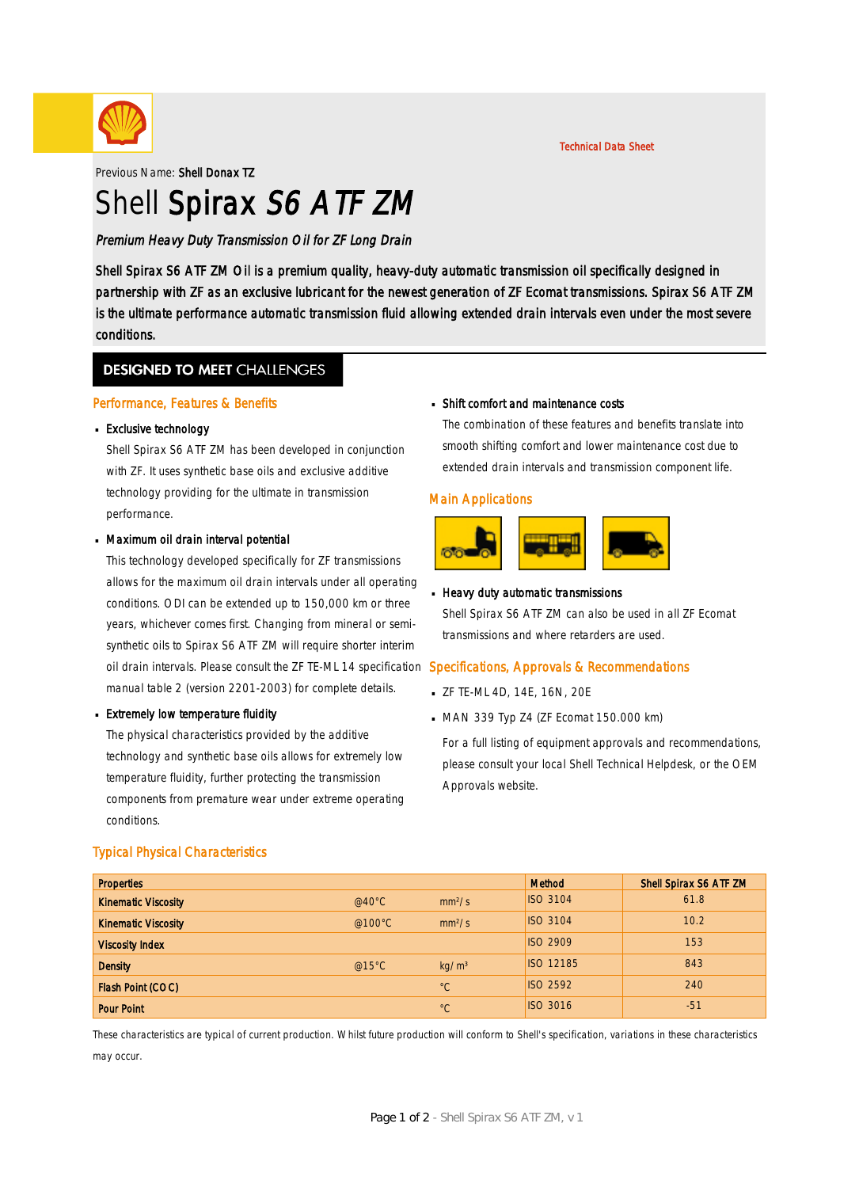

Technical Data Sheet

Previous Name: Shell Donax TZ

# Shell Spirax S6 ATF ZM

Premium Heavy Duty Transmission Oil for ZF Long Drain

Shell Spirax S6 ATF ZM Oil is a premium quality, heavy-duty automatic transmission oil specifically designed in partnership with ZF as an exclusive lubricant for the newest generation of ZF Ecomat transmissions. Spirax S6 ATF ZM is the ultimate performance automatic transmission fluid allowing extended drain intervals even under the most severe conditions.

### **DESIGNED TO MEET CHALLENGES**

#### Performance, Features & Benefits

## Exclusive technology ·

Shell Spirax S6 ATF ZM has been developed in conjunction with ZF. It uses synthetic base oils and exclusive additive technology providing for the ultimate in transmission performance.

## Maximum oil drain interval potential ·

This technology developed specifically for ZF transmissions allows for the maximum oil drain intervals under all operating conditions. ODI can be extended up to 150,000 km or three years, whichever comes first. Changing from mineral or semisynthetic oils to Spirax S6 ATF ZM will require shorter interim oil drain intervals. Please consult the ZF TE-ML 14 specification Specifications, Approvals & Recommendations manual table 2 (version 2201-2003) for complete details.

## **Extremely low temperature fluidity**

The physical characteristics provided by the additive technology and synthetic base oils allows for extremely low temperature fluidity, further protecting the transmission components from premature wear under extreme operating conditions.

## Shift comfort and maintenance costs ·

The combination of these features and benefits translate into smooth shifting comfort and lower maintenance cost due to extended drain intervals and transmission component life.

#### Main Applications



## **Heavy duty automatic transmissions**

Shell Spirax S6 ATF ZM can also be used in all ZF Ecomat transmissions and where retarders are used.

- ZF TE-ML 4D, 14E, 16N, 20E ·
- MAN 339 Typ Z4 (ZF Ecomat 150.000 km) ·

For a full listing of equipment approvals and recommendations, please consult your local Shell Technical Helpdesk, or the OEM Approvals website.

| <b>Properties</b>          |                  |                    | Method           | Shell Spirax S6 ATF ZM |
|----------------------------|------------------|--------------------|------------------|------------------------|
| <b>Kinematic Viscosity</b> | @40 $^{\circ}$ C | mm <sup>2</sup> /s | <b>ISO 3104</b>  | 61.8                   |
| <b>Kinematic Viscosity</b> | @100 $\degree$ C | mm <sup>2</sup> /s | <b>ISO 3104</b>  | 10.2                   |
| <b>Viscosity Index</b>     |                  |                    | <b>ISO 2909</b>  | 153                    |
| <b>Density</b>             | @15°C            | kg/m <sup>3</sup>  | <b>ISO 12185</b> | 843                    |
| Flash Point (COC)          |                  | $^{\circ}C$        | <b>ISO 2592</b>  | 240                    |
| <b>Pour Point</b>          |                  | $^{\circ}C$        | <b>ISO 3016</b>  | $-51$                  |

These characteristics are typical of current production. Whilst future production will conform to Shell's specification, variations in these characteristics may occur.

#### Typical Physical Characteristics